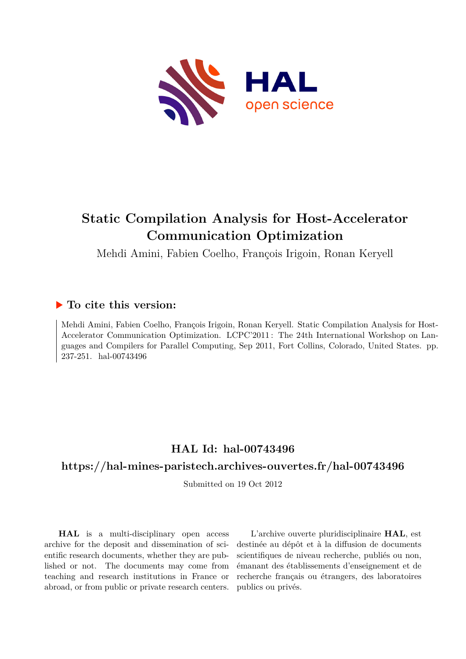

# **Static Compilation Analysis for Host-Accelerator Communication Optimization**

Mehdi Amini, Fabien Coelho, François Irigoin, Ronan Keryell

## **To cite this version:**

Mehdi Amini, Fabien Coelho, François Irigoin, Ronan Keryell. Static Compilation Analysis for Host-Accelerator Communication Optimization. LCPC'2011 : The 24th International Workshop on Languages and Compilers for Parallel Computing, Sep 2011, Fort Collins, Colorado, United States. pp. 237-251. hal-00743496

# **HAL Id: hal-00743496**

# **<https://hal-mines-paristech.archives-ouvertes.fr/hal-00743496>**

Submitted on 19 Oct 2012

**HAL** is a multi-disciplinary open access archive for the deposit and dissemination of scientific research documents, whether they are published or not. The documents may come from teaching and research institutions in France or abroad, or from public or private research centers.

L'archive ouverte pluridisciplinaire **HAL**, est destinée au dépôt et à la diffusion de documents scientifiques de niveau recherche, publiés ou non, émanant des établissements d'enseignement et de recherche français ou étrangers, des laboratoires publics ou privés.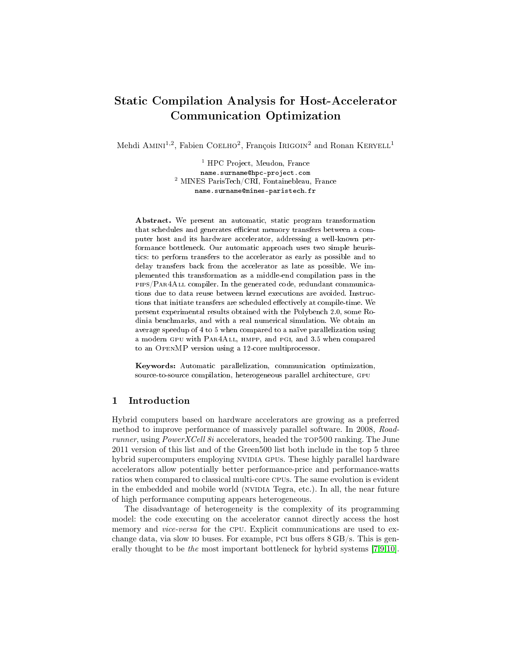# Static Compilation Analysis for Host-Accelerator Communication Optimization

Mehdi AMINI<sup>1,2</sup>, Fabien COELHO<sup>2</sup>, François IRIGOIN<sup>2</sup> and Ronan KERYELL<sup>1</sup>

<sup>1</sup> HPC Project, Meudon, France name.surname@hpc-project.com <sup>2</sup> MINES ParisTech/CRI, Fontainebleau, France name.surname@mines-paristech.fr

Abstract. We present an automatic, static program transformation that schedules and generates efficient memory transfers between a computer host and its hardware accelerator, addressing a well-known performance bottleneck. Our automatic approach uses two simple heuristics: to perform transfers to the accelerator as early as possible and to delay transfers back from the accelerator as late as possible. We implemented this transformation as a middle-end compilation pass in the pips/Par4All compiler. In the generated code, redundant communications due to data reuse between kernel executions are avoided. Instructions that initiate transfers are scheduled effectively at compile-time. We present experimental results obtained with the Polybench 2.0, some Rodinia benchmarks, and with a real numerical simulation. We obtain an average speedup of 4 to 5 when compared to a naïve parallelization using a modern gpu with Par4All, hmpp, and pgi, and 3.5 when compared to an OpenMP version using a 12-core multiprocessor.

Keywords: Automatic parallelization, communication optimization, source-to-source compilation, heterogeneous parallel architecture, gpu

## 1 Introduction

Hybrid computers based on hardware accelerators are growing as a preferred method to improve performance of massively parallel software. In 2008, Roadrunner, using *PowerXCell 8i* accelerators, headed the TOP500 ranking. The June 2011 version of this list and of the Green500 list both include in the top 5 three hybrid supercomputers employing NVIDIA GPUs. These highly parallel hardware accelerators allow potentially better performance-price and performance-watts ratios when compared to classical multi-core cpus. The same evolution is evident in the embedded and mobile world (NVIDIA Tegra, etc.). In all, the near future of high performance computing appears heterogeneous.

The disadvantage of heterogeneity is the complexity of its programming model: the code executing on the accelerator cannot directly access the host memory and *vice-versa* for the CPU. Explicit communications are used to exchange data, via slow io buses. For example, pci bus offers 8 GB/s. This is generally thought to be the most important bottleneck for hybrid systems [\[7,](#page-15-0)[9](#page-15-1)[,10\]](#page-15-2).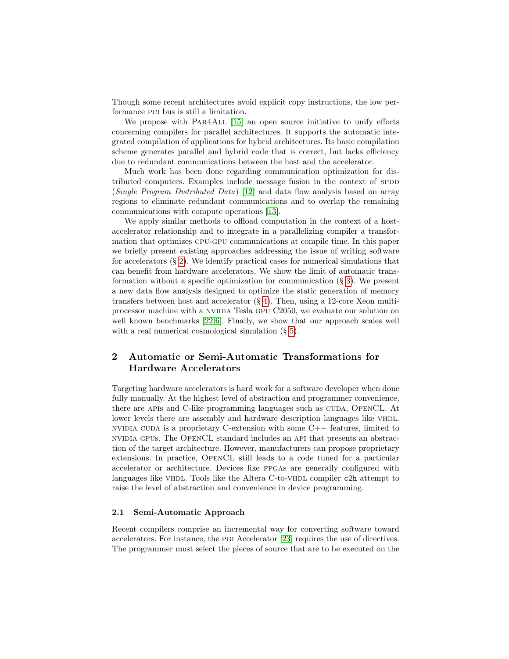Though some recent architectures avoid explicit copy instructions, the low performance pci bus is still a limitation.

We propose with PAR4ALL [\[15\]](#page-15-3) an open source initiative to unify efforts concerning compilers for parallel architectures. It supports the automatic integrated compilation of applications for hybrid architectures. Its basic compilation scheme generates parallel and hybrid code that is correct, but lacks efficiency due to redundant communications between the host and the accelerator.

Much work has been done regarding communication optimization for distributed computers. Examples include message fusion in the context of SPDD (Single Program Distributed Data) [\[12\]](#page-15-4) and data flow analysis based on array regions to eliminate redundant communications and to overlap the remaining communications with compute operations [\[13\]](#page-15-5).

We apply similar methods to offload computation in the context of a hostaccelerator relationship and to integrate in a parallelizing compiler a transformation that optimizes cpu-gpu communications at compile time. In this paper we briefly present existing approaches addressing the issue of writing software for accelerators (§ [2\)](#page-2-0). We identify practical cases for numerical simulations that can benefit from hardware accelerators. We show the limit of automatic transformation without a specific optimization for communication  $(\S 3)$  $(\S 3)$ . We present a new data flow analysis designed to optimize the static generation of memory transfers between host and accelerator (§ [4\)](#page-6-0). Then, using a 12-core Xeon multiprocessor machine with a NVIDIA Tesla GPU C2050, we evaluate our solution on well known benchmarks [\[22](#page-15-6)[,6\]](#page-15-7). Finally, we show that our approach scales well with a real numerical cosmological simulation  $(\S 5)$  $(\S 5)$ .

## <span id="page-2-0"></span>2 Automatic or Semi-Automatic Transformations for Hardware Accelerators

Targeting hardware accelerators is hard work for a software developer when done fully manually. At the highest level of abstraction and programmer convenience, there are APIs and C-like programming languages such as CUDA, OPENCL. At lower levels there are assembly and hardware description languages like VHDL. NVIDIA CUDA is a proprietary C-extension with some  $C++$  features, limited to nvidia gpus. The OpenCL standard includes an api that presents an abstraction of the target architecture. However, manufacturers can propose proprietary extensions. In practice, OpenCL still leads to a code tuned for a particular accelerator or architecture. Devices like fpgas are generally configured with languages like VHDL. Tools like the Altera C-to-VHDL compiler c2h attempt to raise the level of abstraction and convenience in device programming.

#### <span id="page-2-1"></span>2.1 Semi-Automatic Approach

Recent compilers comprise an incremental way for converting software toward accelerators. For instance, the pgi Accelerator [\[23\]](#page-15-8) requires the use of directives. The programmer must select the pieces of source that are to be executed on the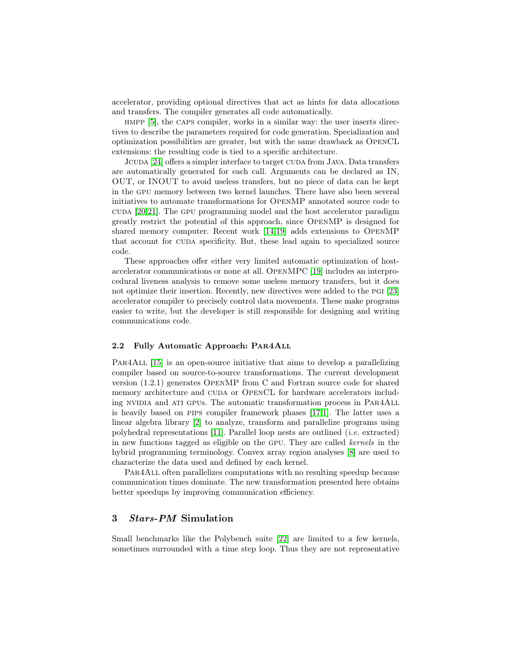accelerator, providing optional directives that act as hints for data allocations and transfers. The compiler generates all code automatically.

hmpp [\[5\]](#page-14-0), the caps compiler, works in a similar way: the user inserts directives to describe the parameters required for code generation. Specialization and optimization possibilities are greater, but with the same drawback as OpenCL extensions: the resulting code is tied to a specific architecture.

JCUDA [\[24\]](#page-15-9) offers a simpler interface to target CUDA from JAVA. Data transfers are automatically generated for each call. Arguments can be declared as IN, OUT, or INOUT to avoid useless transfers, but no piece of data can be kept in the gpu memory between two kernel launches. There have also been several initiatives to automate transformations for OpenMP annotated source code to cuda [\[20,](#page-15-10)[21\]](#page-15-11). The GPU programming model and the host accelerator paradigm greatly restrict the potential of this approach, since OpenMP is designed for shared memory computer. Recent work [\[14,](#page-15-12)[19\]](#page-15-13) adds extensions to OpenMP that account for cuda specificity. But, these lead again to specialized source code.

These approaches offer either very limited automatic optimization of hostaccelerator communications or none at all. OpenMPC [\[19\]](#page-15-13) includes an interprocedural liveness analysis to remove some useless memory transfers, but it does not optimize their insertion. Recently, new directives were added to the pgi [\[23\]](#page-15-8) accelerator compiler to precisely control data movements. These make programs easier to write, but the developer is still responsible for designing and writing communications code.

#### 2.2 Fully Automatic Approach: Par4All

Par4All [\[15\]](#page-15-3) is an open-source initiative that aims to develop a parallelizing compiler based on source-to-source transformations. The current development version (1.2.1) generates OpenMP from C and Fortran source code for shared memory architecture and CUDA or OPENCL for hardware accelerators including NVIDIA and ATI GPUs. The automatic transformation process in PAR4ALL is heavily based on pips compiler framework phases [\[17,](#page-15-14)[1\]](#page-14-1). The latter uses a linear algebra library [\[2\]](#page-14-2) to analyze, transform and parallelize programs using polyhedral representations [\[11\]](#page-15-15). Parallel loop nests are outlined  $(i.e.$  extracted) in new functions tagged as eligible on the gpu. They are called kernels in the hybrid programming terminology. Convex array region analyses [\[8\]](#page-15-16) are used to characterize the data used and defined by each kernel.

Par4All often parallelizes computations with no resulting speedup because communication times dominate. The new transformation presented here obtains better speedups by improving communication efficiency.

#### <span id="page-3-0"></span>3 Stars-PM Simulation

Small benchmarks like the Polybench suite [\[22\]](#page-15-6) are limited to a few kernels, sometimes surrounded with a time step loop. Thus they are not representative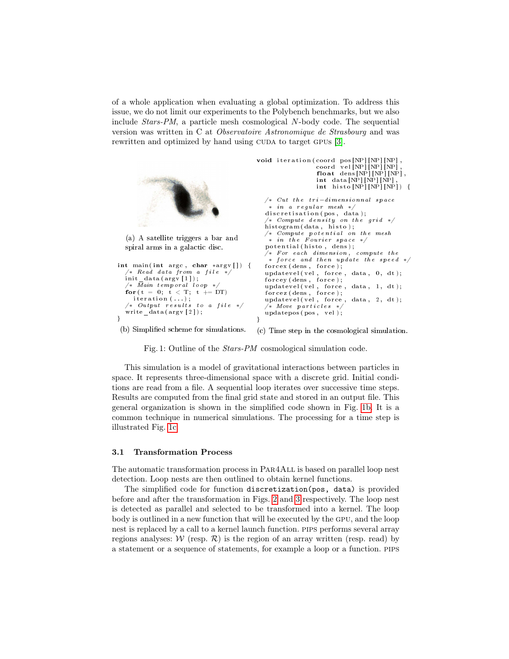of a whole application when evaluating a global optimization. To address this issue, we do not limit our experiments to the Polybench benchmarks, but we also include Stars-PM, a particle mesh cosmological N-body code. The sequential version was written in C at Observatoire Astronomique de Strasbourg and was rewritten and optimized by hand using CUDA to target GPUs [\[3\]](#page-14-3).

```
(a) A satellite triggers a bar and
  spiral arms in a galactic disc.
int main (int argc, char *argv []) {
   '* Read data from a file */init\_data (argv [1]);
  /* \bar{M}ain temporal loop */for (t = 0; t < T; t \neq DT)iteration (\ldots);
   \sqrt{*} Output results to a file *\sqrt{ }write data (argv [2]);
}
 (b) Simplied scheme for simulations.
                                              void iteration (coord pos [NP] [NP] [NP],
                                                                   coord vel[NP][NP][NP],<br>float dens[NP][NP][NP],
                                                                  int data[NP][NP][NP]int \; hist \; o \; [NP] [NP] [NP] ) {
                                                 /* Cut the tri-dimensionnal space
                                                   * in a regular mesh *d is cretisation (pos, data);
                                                  \not\iff Compute\ density\ on\ the\ grid\ *\!histogram (data, hist);
                                                 /* Compute potential on the mesh
                                                  * in the Fourier space */p \, o \, t \, e \, n \, t \, i \, a \, l \, ( \, hist \, o \, , \, \, \dot{d} \, e \, n \, s \, ) \, ;/* For each dimension, compute the* force and then update the speed */force x (dens, force);updatevel(vel, force, data, 0, dt);<br>forcey(dens, force);
                                                 up \, datevel(v \, el \, , \, force \, , \, data \, , \, 1 \, , \, dt \, ) \, ;forcez (dens, force);
                                                 up datevel (vel , force , data , 2 , dt );/* Move particles */updatepos (pos, vel);
                                               }
```
<span id="page-4-1"></span>(c) Time step in the cosmological simulation.

<span id="page-4-0"></span>Fig. 1: Outline of the Stars-PM cosmological simulation code.

This simulation is a model of gravitational interactions between particles in space. It represents three-dimensional space with a discrete grid. Initial conditions are read from a file. A sequential loop iterates over successive time steps. Results are computed from the final grid state and stored in an output file. This general organization is shown in the simplified code shown in Fig. [1b.](#page-4-0) It is a common technique in numerical simulations. The processing for a time step is illustrated Fig. [1c.](#page-4-1)

#### 3.1 Transformation Process

The automatic transformation process in Par4All is based on parallel loop nest detection. Loop nests are then outlined to obtain kernel functions.

The simplified code for function discretization(pos, data) is provided before and after the transformation in Figs. [2](#page-5-0) and [3](#page-5-1) respectively. The loop nest is detected as parallel and selected to be transformed into a kernel. The loop body is outlined in a new function that will be executed by the gpu, and the loop nest is replaced by a call to a kernel launch function. pips performs several array regions analyses:  $W$  (resp.  $R$ ) is the region of an array written (resp. read) by a statement or a sequence of statements, for example a loop or a function. pips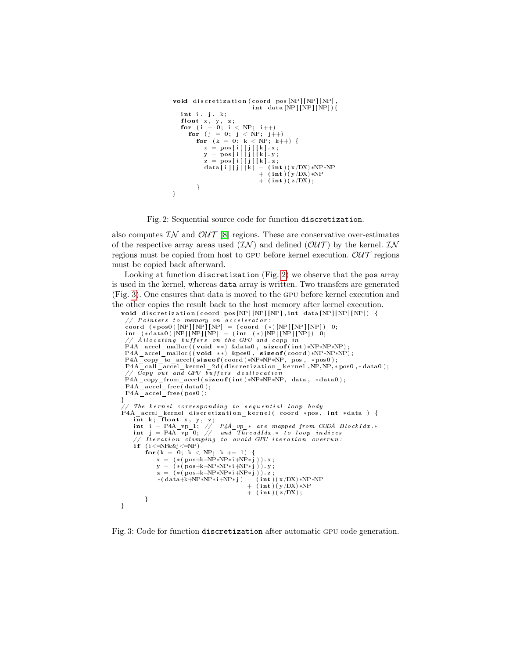```
void discretization (coord pos [NP] [NP] [NP]
                                 int data [NP] [NP] [NP]int i, j, k;float x, y, z;<br>for (i = 0; i < NP; i++)<br>for (j = 0; j < NP; j++)for (k = 0; k < NP; k++) {
            x = \text{pos} \{i \} \cup \{j \} \{k \}. x;
              y = pos[i][j][k].y;<br>z = pos[i][j][k].z;<br>data[i][j][k] = (int)(x/DX)*NP*NP
                                    + \langle int \rangle \langle y/DX) *NP
                                    + (int) (z/DX);}
}
```
Fig. 2: Sequential source code for function discretization.

also computes  $\mathcal{IN}$  and  $\mathcal{OUT}$  [\[8\]](#page-15-16) regions. These are conservative over-estimates of the respective array areas used  $(\mathcal{I}N)$  and defined  $(\mathcal{O}U\mathcal{T})$  by the kernel.  $\mathcal{I}N$ regions must be copied from host to GPU before kernel execution.  $\mathcal{OUT}$  regions must be copied back afterward.

Looking at function discretization (Fig. [2\)](#page-5-0) we observe that the pos array is used in the kernel, whereas data array is written. Two transfers are generated (Fig. [3\)](#page-5-1). One ensures that data is moved to the gpu before kernel execution and the other copies the result back to the host memory after kernel execution.

```
void discretization (coord pos [NP] [NP] [NP] , int data [NP] [NP] [NP]) {
  // Pointers to memory on accelerator
   coord (*pos0)[NP][NP][NP] = (coord (*)[NP][NP]] 0;<br>int (*data0)[NP][NP][NP] = (int (*)[NP][NP][NP]) 0;
  // Allocating buffers on the GPU and copy in
  P4A_accel_malloc ((void **) &data0 , sizeof(int)*NP*NP*NP);<br>P4A_accel_malloc ((void **) &pos0 , sizeof(coord)*NP*NP*NP);
  P4A_copy_to_accel(sizeof(coord)*NP*NP*NP, pos, *pos0);<br>P4A_call_accel_kernel_2d(discretization_kernel ,NP,NP,*pos0,*data0);
  // \bar{Co}py \bar{out} and GPU \bar{b}uffers deallocation
  P4A_copy_from_accel(sizeof(int)*NP*NP*NP, data, *data0);
   P4A_acce l_ free ( data0 ) ;
P4A_acce l_ free ( pos0 ) ;
}
  / The kernel corresponding to sequential loop body
P4A_accel_kernel discretization_kernel (coord *pos, int *data) {
       int k; float x, y, z;<br>
int i = P4A_vp_1; // P4A_vp_* are mapped from CUDA BlockIdx.*<br>
int j = P4A_vp_0; // and ThreadIdx.* to loop indices<br>
// Iteration clamping to avoid GPU iteration overrun:
       \mathbf{i} \mathbf{f} ( \mathbf{i} \leq \mathbf{N} P \& \& \mathbf{j} \leq \mathbf{N} P)
             for (k = 0; k < NP; k \neq 1) {
                   x = (* (pos+k+NP*NP*NP* i+NP* j)) . x ;y = (\star (\text{pos}+k+NP*NP*NP* i+NP* j)). y;
                   z = (\ast (\text{pos}+\text{k}+\text{NP}*\text{NP}*\text{i}+\text{NP}*\text{j})\hat{i} \cdot z;*(\text{ dat }a+k+NP*NP*NP* i+NP* j) = (\text{int })(x/DX)*NP*NP*j+\hspace{1.1cm} \frac{(\hspace{1pt}\mathrm{in}\hspace{1pt} \mathrm{t}\hspace{1pt} )}{(\hspace{1pt}\mathrm{in}\hspace{1pt} \mathrm{t}\hspace{1pt} )} (\hspace{1pt}\mathrm{y}\hspace{1pt} /\hspace{1pt} \mathrm{DX}) \hspace{1pt} * \mathrm{NP}\ \hspace{1pt} } \hspace{1pt} \ + \hspace{1.1cm} \frac{(\hspace{1pt}\mathrm{in}\hspace{1pt} \mathrm{t}\hspace{1pt} )}{(\hspace{1pt}\mathrm{in}\hspace{1pt} \mathrm{t}\hspace{1pt} ) (\hspace{1pt}\mathrm{z}\hspace{1pt} /\}
}
```
Fig. 3: Code for function discretization after automatic gpu code generation.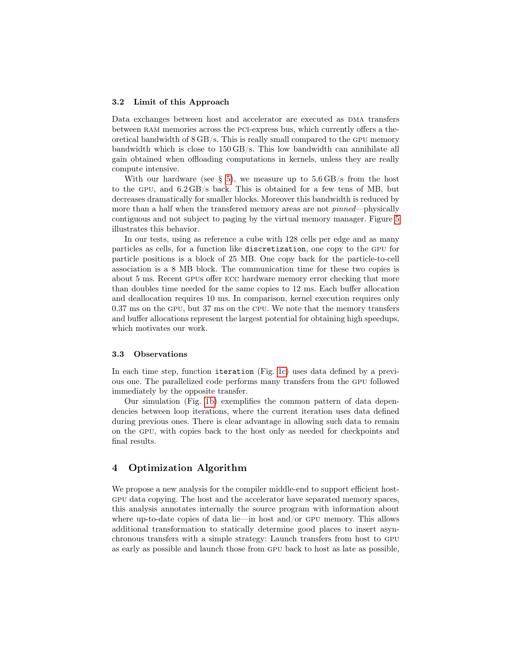#### 3.2 Limit of this Approach

Data exchanges between host and accelerator are executed as DMA transfers between ram memories across the pci-express bus, which currently offers a theoretical bandwidth of 8 GB/s. This is really small compared to the gpu memory bandwidth which is close to 150 GB/s. This low bandwidth can annihilate all gain obtained when offloading computations in kernels, unless they are really compute intensive.

With our hardware (see  $\S$  [5\)](#page-10-0), we measure up to  $5.6 \text{ GB/s}$  from the host to the gpu, and 6.2 GB/s back. This is obtained for a few tens of MB, but decreases dramatically for smaller blocks. Moreover this bandwidth is reduced by more than a half when the transferred memory areas are not *pinned*—physically contiguous and not subject to paging by the virtual memory manager. Figure [5](#page-11-0) illustrates this behavior.

In our tests, using as reference a cube with 128 cells per edge and as many particles as cells, for a function like discretization, one copy to the gpu for particle positions is a block of 25 MB. One copy back for the particle-to-cell association is a 8 MB block. The communication time for these two copies is about 5 ms. Recent gpus offer ecc hardware memory error checking that more than doubles time needed for the same copies to 12 ms. Each buffer allocation and deallocation requires 10 ms. In comparison, kernel execution requires only 0.37 ms on the gpu, but 37 ms on the cpu. We note that the memory transfers and buffer allocations represent the largest potential for obtaining high speedups, which motivates our work.

#### 3.3 Observations

In each time step, function iteration (Fig. [1c\)](#page-4-1) uses data defined by a previous one. The parallelized code performs many transfers from the gpu followed immediately by the opposite transfer.

Our simulation (Fig. [1b\)](#page-4-0) exemplifies the common pattern of data dependencies between loop iterations, where the current iteration uses data defined during previous ones. There is clear advantage in allowing such data to remain on the gpu, with copies back to the host only as needed for checkpoints and final results.

### <span id="page-6-0"></span>4 Optimization Algorithm

We propose a new analysis for the compiler middle-end to support efficient hostgpu data copying. The host and the accelerator have separated memory spaces, this analysis annotates internally the source program with information about where up-to-date copies of data lie—in host and/or gpu memory. This allows additional transformation to statically determine good places to insert asynchronous transfers with a simple strategy: Launch transfers from host to gpu as early as possible and launch those from gpu back to host as late as possible,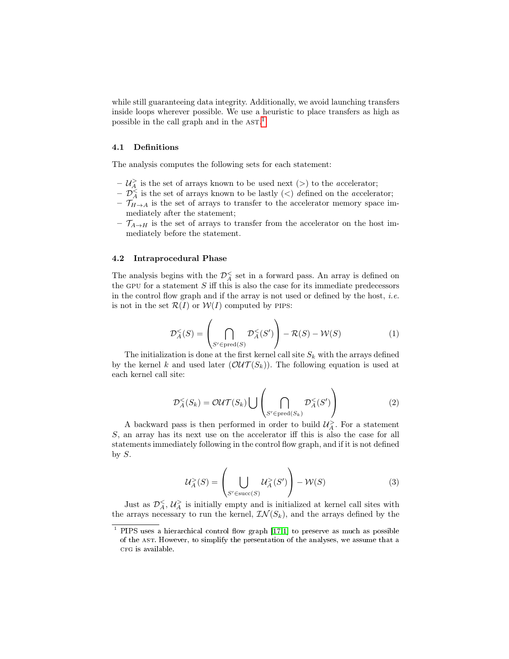while still guaranteeing data integrity. Additionally, we avoid launching transfers inside loops wherever possible. We use a heuristic to place transfers as high as possible in the call graph and in the AST.<sup>[1](#page-7-0)</sup>

#### 4.1 Definitions

The analysis computes the following sets for each statement:

- $-\mathcal{U}_{A}^{\geq}$  is the set of arrays known to be used next (>) to the accelerator;
- $-\overline{\mathcal{D}_A^{\le}}$  is the set of arrays known to be lastly (<) defined on the accelerator;
- $\mathcal{T}_{H\rightarrow A}$  is the set of arrays to transfer to the accelerator memory space immediately after the statement;
- $\mathcal{T}_{A\rightarrow H}$  is the set of arrays to transfer from the accelerator on the host immediately before the statement.

#### 4.2 Intraprocedural Phase

The analysis begins with the  $\mathcal{D}_{A}^{\leq}$  set in a forward pass. An array is defined on the GPU for a statement  $S$  iff this is also the case for its immediate predecessors in the control flow graph and if the array is not used or defined by the host, *i.e.* is not in the set  $\mathcal{R}(I)$  or  $\mathcal{W}(I)$  computed by PIPS:

<span id="page-7-1"></span>
$$
\mathcal{D}_{A}^{<}(S) = \left(\bigcap_{S' \in \text{pred}(S)} \mathcal{D}_{A}^{<}(S')\right) - \mathcal{R}(S) - \mathcal{W}(S) \tag{1}
$$

The initialization is done at the first kernel call site  $S_k$  with the arrays defined by the kernel k and used later  $(\mathcal{OUT}(S_k))$ . The following equation is used at each kernel call site:

$$
\mathcal{D}_{A}^{<}(S_{k}) = \mathcal{OUT}(S_{k}) \bigcup \left( \bigcap_{S' \in \text{pred}(S_{k})} \mathcal{D}_{A}^{<}(S') \right)
$$
(2)

A backward pass is then performed in order to build  $\mathcal{U}^{\geq}_{A}$ . For a statement S, an array has its next use on the accelerator iff this is also the case for all statements immediately following in the control flow graph, and if it is not defined by  $S$ .

<span id="page-7-2"></span>
$$
\mathcal{U}_A^>(S) = \left(\bigcup_{S' \in \text{succ}(S)} \mathcal{U}_A^>(S')\right) - \mathcal{W}(S) \tag{3}
$$

Just as  $\mathcal{D}_A^{\leq}$ ,  $\mathcal{U}_A^{\geq}$  is initially empty and is initialized at kernel call sites with the arrays necessary to run the kernel,  $\mathcal{IN}(S_k)$ , and the arrays defined by the

<span id="page-7-0"></span> $1$  PIPS uses a hierarchical control flow graph [\[17,](#page-15-14)[1\]](#page-14-1) to preserve as much as possible of the ast. However, to simplify the presentation of the analyses, we assume that a CFG is available.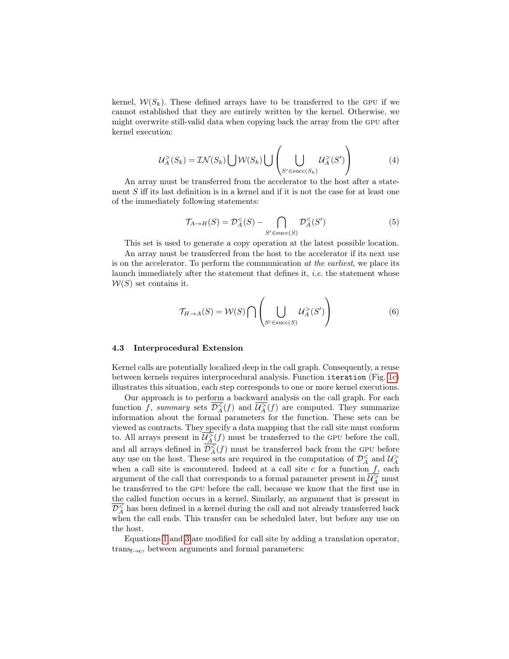kernel,  $W(S_k)$ . These defined arrays have to be transferred to the GPU if we cannot established that they are entirely written by the kernel. Otherwise, we might overwrite still-valid data when copying back the array from the gpu after kernel execution:

$$
U_A^>(S_k) = \mathcal{IN}(S_k) \bigcup \mathcal{W}(S_k) \bigcup \left( \bigcup_{S' \in \text{succ}(S_k)} \mathcal{U}_A^>(S') \right) \tag{4}
$$

An array must be transferred from the accelerator to the host after a statement  $S$  iff its last definition is in a kernel and if it is not the case for at least one of the immediately following statements:

$$
\mathcal{T}_{A \to H}(S) = \mathcal{D}_A^{\leq}(S) - \bigcap_{S' \in \text{succ}(S)} \mathcal{D}_A^{\leq}(S') \tag{5}
$$

This set is used to generate a copy operation at the latest possible location.

An array must be transferred from the host to the accelerator if its next use is on the accelerator. To perform the communication at the earliest, we place its launch immediately after the statement that defines it, i.e. the statement whose  $W(S)$  set contains it.

$$
\mathcal{T}_{H \to A}(S) = \mathcal{W}(S) \cap \left( \bigcup_{S' \in \text{succ}(S)} \mathcal{U}_A^>(S') \right) \tag{6}
$$

#### 4.3 Interprocedural Extension

Kernel calls are potentially localized deep in the call graph. Consequently, a reuse between kernels requires interprocedural analysis. Function iteration (Fig. [1c\)](#page-4-1) illustrates this situation, each step corresponds to one or more kernel executions.

Our approach is to perform a backward analysis on the call graph. For each function f, summary sets  $\overline{\mathcal{D}_A^{\leq}}(f)$  and  $\overline{\mathcal{U}_A^{\geq}}(f)$  are computed. They summarize information about the formal parameters for the function. These sets can be viewed as contracts. They specify a data mapping that the call site must conform to. All arrays present in  $\overline{\mathcal{U}_A^>}(f)$  must be transferred to the GPU before the call, and all arrays defined in  $\overline{\mathcal{D}_A^{\lt}(f)}$  must be transferred back from the GPU before any use on the host. These sets are required in the computation of  $\mathcal{D}_{A}^{<}$  and  $\mathcal{U}_{A}^{>}$ when a call site is encountered. Indeed at a call site  $c$  for a function  $f$ , each argument of the call that corresponds to a formal parameter present in  $\overline{\mathcal{U}_A^>}$  must be transferred to the gpu before the call, because we know that the first use in the called function occurs in a kernel. Similarly, an argument that is present in  $\widetilde{\mathcal{D}_A^{\leq}}$  has been defined in a kernel during the call and not already transferred back when the call ends. This transfer can be scheduled later, but before any use on the host.

Equations [1](#page-7-1) and [3](#page-7-2) are modified for call site by adding a translation operator,  $trans<sub>f→c</sub>$ , between arguments and formal parameters: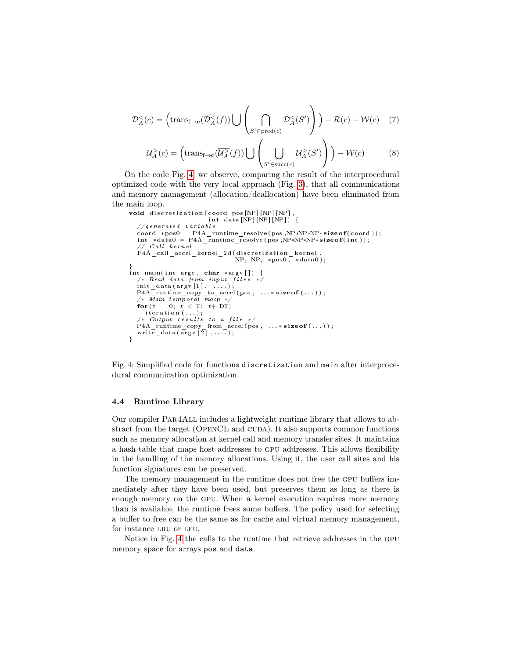$$
\mathcal{D}_A^<(c) = \left(\text{trans}_{f \to c}(\overline{\mathcal{D}_A^<(f)}) \bigcup \left(\bigcap_{S' \in \text{pred}(c)} \mathcal{D}_A^<(S')\right)\right) - \mathcal{R}(c) - \mathcal{W}(c) \quad (7)
$$
  

$$
\mathcal{U}_c^>(c) = \left(\text{trans}_{f \to c}(\overline{\mathcal{U}_c^>(f)}) \bigcup \left(\bigcup_{j \in \mathcal{I}_c^>(f)} \mathcal{U}_j^>(S')\right)\right) - \mathcal{W}(c) \quad (8)
$$

$$
\mathcal{U}_A^>(c) = \left(\text{trans}_{f \to c}(\overline{\mathcal{U}_A^>}(f)) \bigcup \left( \bigcup_{S' \in \text{succ}(c)} \mathcal{U}_A^>(S') \right) \right) - \mathcal{W}(c) \tag{8}
$$

On the code Fig. [4,](#page-9-0) we observe, comparing the result of the interprocedural optimized code with the very local approach (Fig. [3\)](#page-5-1), that all communications and memory management (allocation/deallocation) have been eliminated from the main loop.

```
void discretization (coord pos [NP] [NP] [NP],<br>int data [NP] [NP] [NP]// q enerated variable
    coord ∗pos0 = P4A_runtime_resolve(pos ,NP*NP*NP∗sizeof(coord));<br>int *data0 = P4A_runtime_resolve(pos ,NP*NP*NP*sizeof(int));
       \sqrt{C}all kernel
    P4A_call_accel_kernel_2d(discretization_kernel ,<br>NP, NP, *pos0 , *data0);
}<br>int main(int argc, char *argv[]) {
   /* Read data from input files */init_data(argv[1], ....);<br>P4A_runtime_copy_to_accel(pos, ...* sizeof(...));<br>/* Main temporal moop */
   for ( t = 0; t < T; t+=DT)iteration (...):
     /∗ Output r e s u l t s t o a f i l e ∗/
    P4A_r = \text{unitime} \ \text{copy} \ \text{from} \ \text{accel}(\ \text{pos} \ , \ \ldots \ast \ \text{size} \ \text{of} \ (\ldots)) \ ;<br>write data (\arg v \ [2], ....);
}
```
Fig. 4: Simplified code for functions discretization and main after interprocedural communication optimization.

#### 4.4 Runtime Library

Our compiler Par4All includes a lightweight runtime library that allows to abstract from the target (OPENCL and CUDA). It also supports common functions such as memory allocation at kernel call and memory transfer sites. It maintains a hash table that maps host addresses to gpu addresses. This allows flexibility in the handling of the memory allocations. Using it, the user call sites and his function signatures can be preserved.

The memory management in the runtime does not free the gpu buffers immediately after they have been used, but preserves them as long as there is enough memory on the gpu. When a kernel execution requires more memory than is available, the runtime frees some buffers. The policy used for selecting a buffer to free can be the same as for cache and virtual memory management, for instance LRU or LFU.

Notice in Fig. [4](#page-9-0) the calls to the runtime that retrieve addresses in the gpu memory space for arrays pos and data.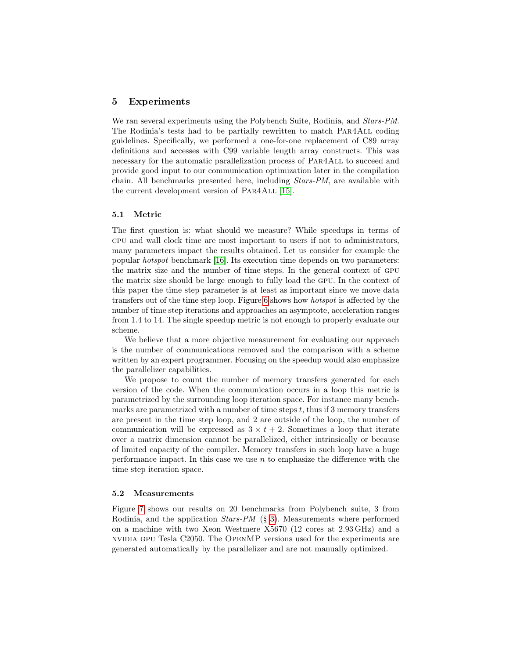#### <span id="page-10-0"></span>5 Experiments

We ran several experiments using the Polybench Suite, Rodinia, and *Stars-PM*. The Rodinia's tests had to be partially rewritten to match Par4All coding guidelines. Specifically, we performed a one-for-one replacement of C89 array definitions and accesses with C99 variable length array constructs. This was necessary for the automatic parallelization process of Par4All to succeed and provide good input to our communication optimization later in the compilation chain. All benchmarks presented here, including Stars-PM, are available with the current development version of Par4All [\[15\]](#page-15-3).

#### 5.1 Metric

The first question is: what should we measure? While speedups in terms of cpu and wall clock time are most important to users if not to administrators, many parameters impact the results obtained. Let us consider for example the popular hotspot benchmark [\[16\]](#page-15-17). Its execution time depends on two parameters: the matrix size and the number of time steps. In the general context of gpu the matrix size should be large enough to fully load the gpu. In the context of this paper the time step parameter is at least as important since we move data transfers out of the time step loop. Figure [6](#page-11-0) shows how hotspot is affected by the number of time step iterations and approaches an asymptote, acceleration ranges from 1.4 to 14. The single speedup metric is not enough to properly evaluate our scheme.

We believe that a more objective measurement for evaluating our approach is the number of communications removed and the comparison with a scheme written by an expert programmer. Focusing on the speedup would also emphasize the parallelizer capabilities.

We propose to count the number of memory transfers generated for each version of the code. When the communication occurs in a loop this metric is parametrized by the surrounding loop iteration space. For instance many benchmarks are parametrized with a number of time steps t, thus if 3 memory transfers are present in the time step loop, and 2 are outside of the loop, the number of communication will be expressed as  $3 \times t + 2$ . Sometimes a loop that iterate over a matrix dimension cannot be parallelized, either intrinsically or because of limited capacity of the compiler. Memory transfers in such loop have a huge performance impact. In this case we use  $n$  to emphasize the difference with the time step iteration space.

#### 5.2 Measurements

Figure [7](#page-12-0) shows our results on 20 benchmarks from Polybench suite, 3 from Rodinia, and the application Stars-PM (§ [3\)](#page-3-0). Measurements where performed on a machine with two Xeon Westmere X5670 (12 cores at 2.93 GHz) and a nvidia gpu Tesla C2050. The OpenMP versions used for the experiments are generated automatically by the parallelizer and are not manually optimized.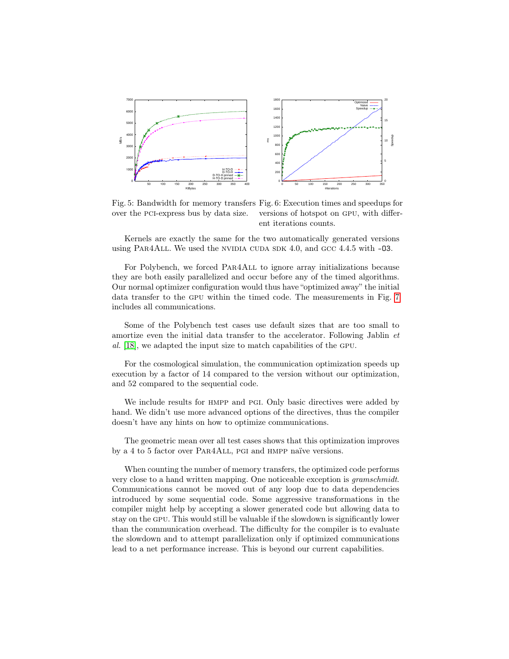<span id="page-11-0"></span>

Fig. 5: Bandwidth for memory transfers Fig. 6: Execution times and speedups for over the pci-express bus by data size. versions of hotspot on gpu, with different iterations counts.

Kernels are exactly the same for the two automatically generated versions using PAR4ALL. We used the NVIDIA CUDA SDK 4.0, and GCC 4.4.5 with  $-03$ .

For Polybench, we forced Par4All to ignore array initializations because they are both easily parallelized and occur before any of the timed algorithms. Our normal optimizer configuration would thus have "optimized away" the initial data transfer to the gpu within the timed code. The measurements in Fig. [7](#page-12-0) includes all communications.

Some of the Polybench test cases use default sizes that are too small to amortize even the initial data transfer to the accelerator. Following Jablin et al. [\[18\]](#page-15-18), we adapted the input size to match capabilities of the gpu.

For the cosmological simulation, the communication optimization speeds up execution by a factor of 14 compared to the version without our optimization, and 52 compared to the sequential code.

We include results for HMPP and PGI. Only basic directives were added by hand. We didn't use more advanced options of the directives, thus the compiler doesn't have any hints on how to optimize communications.

The geometric mean over all test cases shows that this optimization improves by a 4 to 5 factor over Par4All, pgi and hmpp naïve versions.

When counting the number of memory transfers, the optimized code performs very close to a hand written mapping. One noticeable exception is gramschmidt. Communications cannot be moved out of any loop due to data dependencies introduced by some sequential code. Some aggressive transformations in the compiler might help by accepting a slower generated code but allowing data to stay on the gpu. This would still be valuable if the slowdown is significantly lower than the communication overhead. The difficulty for the compiler is to evaluate the slowdown and to attempt parallelization only if optimized communications lead to a net performance increase. This is beyond our current capabilities.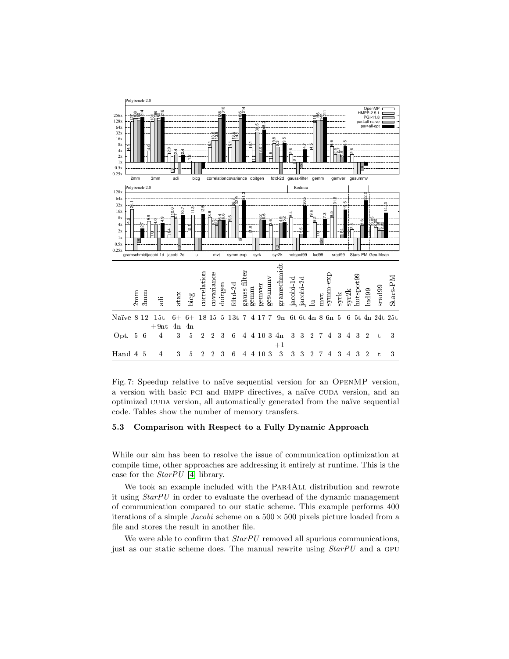<span id="page-12-0"></span>

Fig. 7: Speedup relative to naïve sequential version for an OpenMP version, a version with basic PGI and HMPP directives, a naïve CUDA version, and an optimized cuda version, all automatically generated from the naïve sequential code. Tables show the number of memory transfers.

#### 5.3 Comparison with Respect to a Fully Dynamic Approach

While our aim has been to resolve the issue of communication optimization at compile time, other approaches are addressing it entirely at runtime. This is the case for the StarPU [\[4\]](#page-14-4) library.

We took an example included with the PAR4ALL distribution and rewrote it using StarPU in order to evaluate the overhead of the dynamic management of communication compared to our static scheme. This example performs 400 iterations of a simple *Jacobi* scheme on a  $500 \times 500$  pixels picture loaded from a file and stores the result in another file.

We were able to confirm that  $StarPU$  removed all spurious communications, just as our static scheme does. The manual rewrite using  $StarPU$  and a GPU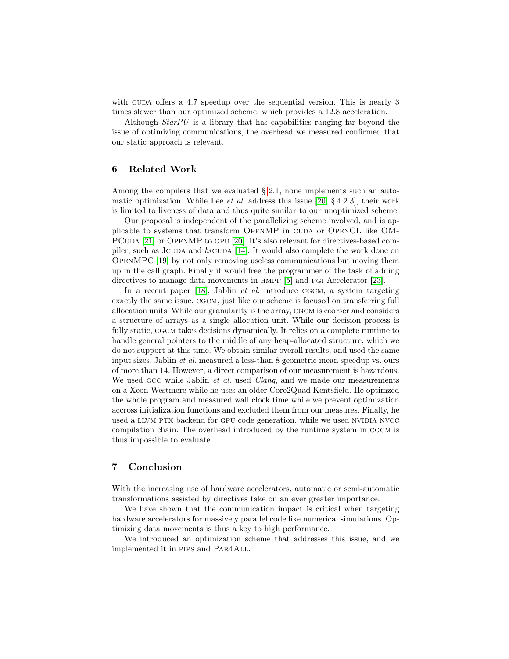with CUDA offers a 4.7 speedup over the sequential version. This is nearly 3 times slower than our optimized scheme, which provides a 12.8 acceleration.

Although  $StarPU$  is a library that has capabilities ranging far beyond the issue of optimizing communications, the overhead we measured confirmed that our static approach is relevant.

#### 6 Related Work

Among the compilers that we evaluated  $\S$  [2.1,](#page-2-1) none implements such an automatic optimization. While Lee *et al.* address this issue [\[20,](#page-15-10)  $\S$ .4.2.3], their work is limited to liveness of data and thus quite similar to our unoptimized scheme.

Our proposal is independent of the parallelizing scheme involved, and is applicable to systems that transform OpenMP in cuda or OpenCL like OM-PCUDA [\[21\]](#page-15-11) or OPENMP to GPU [\[20\]](#page-15-10). It's also relevant for directives-based com-piler, such as JCUDA and hicuda [\[14\]](#page-15-12). It would also complete the work done on OpenMPC [\[19\]](#page-15-13) by not only removing useless communications but moving them up in the call graph. Finally it would free the programmer of the task of adding directives to manage data movements in hmpp [\[5\]](#page-14-0) and pgi Accelerator [\[23\]](#page-15-8).

In a recent paper [\[18\]](#page-15-18), Jablin *et al.* introduce CGCM, a system targeting exactly the same issue. cgcm, just like our scheme is focused on transferring full allocation units. While our granularity is the array, cgcm is coarser and considers a structure of arrays as a single allocation unit. While our decision process is fully static, CGCM takes decisions dynamically. It relies on a complete runtime to handle general pointers to the middle of any heap-allocated structure, which we do not support at this time. We obtain similar overall results, and used the same input sizes. Jablin et al. measured a less-than 8 geometric mean speedup vs. ours of more than 14. However, a direct comparison of our measurement is hazardous. We used GCC while Jablin *et al.* used *Clang*, and we made our measurements on a Xeon Westmere while he uses an older Core2Quad Kentsfield. He optimzed the whole program and measured wall clock time while we prevent optimization accross initialization functions and excluded them from our measures. Finally, he used a LLVM PTX backend for GPU code generation, while we used NVIDIA NVCC compilation chain. The overhead introduced by the runtime system in CGCM is thus impossible to evaluate.

## 7 Conclusion

With the increasing use of hardware accelerators, automatic or semi-automatic transformations assisted by directives take on an ever greater importance.

We have shown that the communication impact is critical when targeting hardware accelerators for massively parallel code like numerical simulations. Optimizing data movements is thus a key to high performance.

We introduced an optimization scheme that addresses this issue, and we implemented it in pips and Par4All.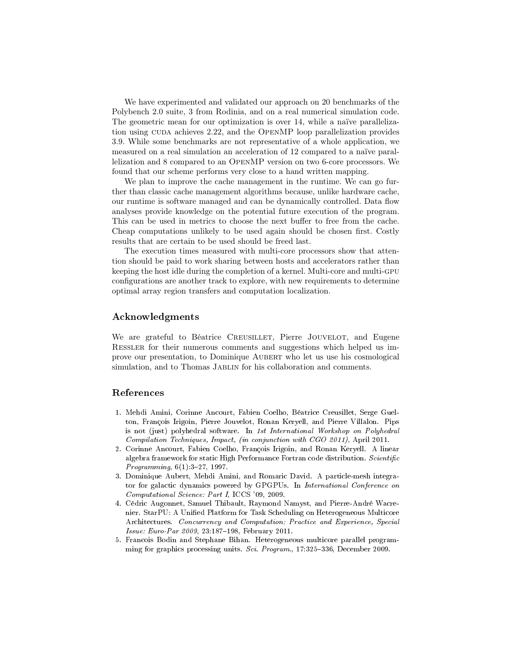We have experimented and validated our approach on 20 benchmarks of the Polybench 2.0 suite, 3 from Rodinia, and on a real numerical simulation code. The geometric mean for our optimization is over 14, while a naïve parallelization using CUDA achieves 2.22, and the OPENMP loop parallelization provides 3.9. While some benchmarks are not representative of a whole application, we measured on a real simulation an acceleration of 12 compared to a naïve parallelization and 8 compared to an OpenMP version on two 6-core processors. We found that our scheme performs very close to a hand written mapping.

We plan to improve the cache management in the runtime. We can go further than classic cache management algorithms because, unlike hardware cache, our runtime is software managed and can be dynamically controlled. Data flow analyses provide knowledge on the potential future execution of the program. This can be used in metrics to choose the next buffer to free from the cache. Cheap computations unlikely to be used again should be chosen first. Costly results that are certain to be used should be freed last.

The execution times measured with multi-core processors show that attention should be paid to work sharing between hosts and accelerators rather than keeping the host idle during the completion of a kernel. Multi-core and multi-gpu configurations are another track to explore, with new requirements to determine optimal array region transfers and computation localization.

#### Acknowledgments

We are grateful to Béatrice CREUSILLET, Pierre JOUVELOT, and Eugene Ressler for their numerous comments and suggestions which helped us improve our presentation, to Dominique AUBERT who let us use his cosmological simulation, and to Thomas JABLIN for his collaboration and comments.

#### References

- <span id="page-14-1"></span>1. Mehdi Amini, Corinne Ancourt, Fabien Coelho, Béatrice Creusillet, Serge Guelton, François Irigoin, Pierre Jouvelot, Ronan Keryell, and Pierre Villalon. Pips is not (just) polyhedral software. In 1st International Workshop on Polyhedral Compilation Techniques, Impact, (in conjunction with CGO 2011), April 2011.
- <span id="page-14-2"></span>2. Corinne Ancourt, Fabien Coelho, François Irigoin, and Ronan Keryell. A linear algebra framework for static High Performance Fortran code distribution. Scientific *Programming*,  $6(1):3-27$ , 1997.
- <span id="page-14-3"></span>3. Dominique Aubert, Mehdi Amini, and Romaric David. A particle-mesh integrator for galactic dynamics powered by GPGPUs. In International Conference on Computational Science: Part I, ICCS '09, 2009.
- <span id="page-14-4"></span>4. Cédric Augonnet, Samuel Thibault, Raymond Namyst, and Pierre-André Wacrenier. StarPU: A Unified Platform for Task Scheduling on Heterogeneous Multicore Architectures. Concurrency and Computation: Practice and Experience, Special Issue: Euro-Par 2009, 23:187-198, February 2011.
- <span id="page-14-0"></span>5. Francois Bodin and Stephane Bihan. Heterogeneous multicore parallel programming for graphics processing units. Sci. Program.,  $17:325-336$ , December 2009.